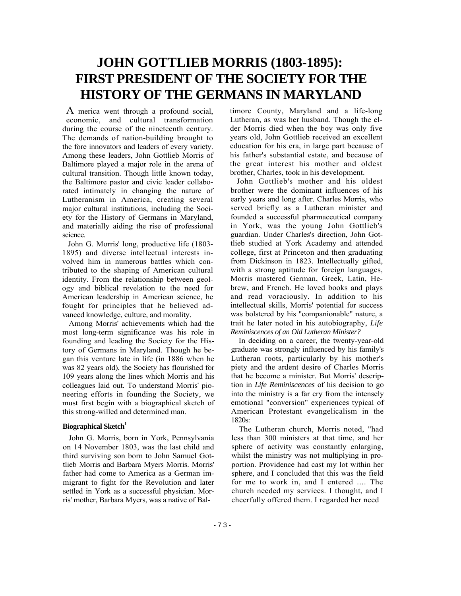# **JOHN GOTTLIEB MORRIS (1803-1895): FIRST PRESIDENT OF THE SOCIETY FOR THE HISTORY OF THE GERMANS IN MARYLAND**

A merica went through a profound social, economic, and cultural transformation during the course of the nineteenth century. The demands of nation-building brought to the fore innovators and leaders of every variety. Among these leaders, John Gottlieb Morris of Baltimore played a major role in the arena of cultural transition. Though little known today, the Baltimore pastor and civic leader collaborated intimately in changing the nature of Lutheranism in America, creating several major cultural institutions, including the Society for the History of Germans in Maryland, and materially aiding the rise of professional science.

John G. Morris' long, productive life (1803- 1895) and diverse intellectual interests involved him in numerous battles which contributed to the shaping of American cultural identity. From the relationship between geology and biblical revelation to the need for American leadership in American science, he fought for principles that he believed advanced knowledge, culture, and morality.

Among Morris' achievements which had the most long-term significance was his role in founding and leading the Society for the History of Germans in Maryland. Though he began this venture late in life (in 1886 when he was 82 years old), the Society has flourished for 109 years along the lines which Morris and his colleagues laid out. To understand Morris' pioneering efforts in founding the Society, we must first begin with a biographical sketch of this strong-willed and determined man.

### **Biographical Sketch**<sup>1</sup>

John G. Morris, born in York, Pennsylvania on 14 November 1803, was the last child and third surviving son born to John Samuel Gottlieb Morris and Barbara Myers Morris. Morris' father had come to America as a German immigrant to fight for the Revolution and later settled in York as a successful physician. Morris' mother, Barbara Myers, was a native of Bal-

timore County, Maryland and a life-long Lutheran, as was her husband. Though the elder Morris died when the boy was only five years old, John Gottlieb received an excellent education for his era, in large part because of his father's substantial estate, and because of the great interest his mother and oldest brother, Charles, took in his development.

John Gottlieb's mother and his oldest brother were the dominant influences of his early years and long after. Charles Morris, who served briefly as a Lutheran minister and founded a successful pharmaceutical company in York, was the young John Gottlieb's guardian. Under Charles's direction, John Gottlieb studied at York Academy and attended college, first at Princeton and then graduating from Dickinson in 1823. Intellectually gifted, with a strong aptitude for foreign languages, Morris mastered German, Greek, Latin, Hebrew, and French. He loved books and plays and read voraciously. In addition to his intellectual skills, Morris' potential for success was bolstered by his "companionable" nature, a trait he later noted in his autobiography, *Life Reminiscences of an Old Lutheran Minister?*

In deciding on a career, the twenty-year-old graduate was strongly influenced by his family's Lutheran roots, particularly by his mother's piety and the ardent desire of Charles Morris that he become a minister. But Morris' description in *Life Reminiscences* of his decision to go into the ministry is a far cry from the intensely emotional "conversion" experiences typical of American Protestant evangelicalism in the 1820s:

The Lutheran church, Morris noted, "had less than 300 ministers at that time, and her sphere of activity was constantly enlarging, whilst the ministry was not multiplying in proportion. Providence had cast my lot within her sphere, and I concluded that this was the field for me to work in, and I entered .... The church needed my services. I thought, and I cheerfully offered them. I regarded her need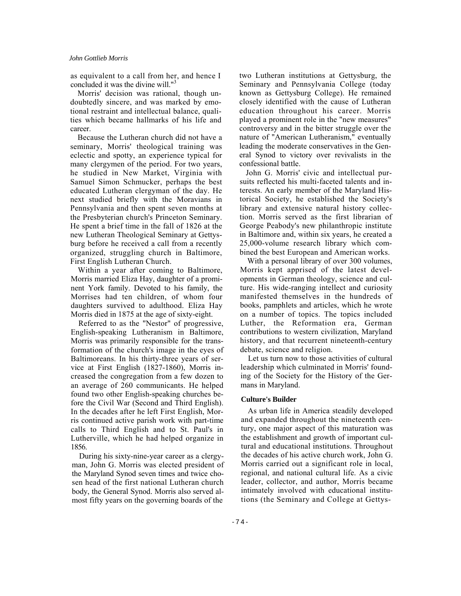#### *John Gottlieb Morris*

as equivalent to a call from her, and hence I concluded it was the divine will."<sup>3</sup>

Morris' decision was rational, though undoubtedly sincere, and was marked by emotional restraint and intellectual balance, qualities which became hallmarks of his life and career.

Because the Lutheran church did not have a seminary, Morris' theological training was eclectic and spotty, an experience typical for many clergymen of the period. For two years, he studied in New Market, Virginia with Samuel Simon Schmucker, perhaps the best educated Lutheran clergyman of the day. He next studied briefly with the Moravians in Pennsylvania and then spent seven months at the Presbyterian church's Princeton Seminary. He spent a brief time in the fall of 1826 at the new Lutheran Theological Seminary at Gettysburg before he received a call from a recently organized, struggling church in Baltimore, First English Lutheran Church.

Within a year after coming to Baltimore, Morris married Eliza Hay, daughter of a prominent York family. Devoted to his family, the Morrises had ten children, of whom four daughters survived to adulthood. Eliza Hay Morris died in 1875 at the age of sixty-eight.

Referred to as the "Nestor" of progressive, English-speaking Lutheranism in Baltimore, Morris was primarily responsible for the transformation of the church's image in the eyes of Baltimoreans. In his thirty-three years of service at First English (1827-1860), Morris increased the congregation from a few dozen to an average of 260 communicants. He helped found two other English-speaking churches before the Civil War (Second and Third English). In the decades after he left First English, Morris continued active parish work with part-time calls to Third English and to St. Paul's in Lutherville, which he had helped organize in 1856.

During his sixty-nine-year career as a clergyman, John G. Morris was elected president of the Maryland Synod seven times and twice chosen head of the first national Lutheran church body, the General Synod. Morris also served almost fifty years on the governing boards of the

two Lutheran institutions at Gettysburg, the Seminary and Pennsylvania College (today known as Gettysburg College). He remained closely identified with the cause of Lutheran education throughout his career. Morris played a prominent role in the "new measures" controversy and in the bitter struggle over the nature of "American Lutheranism," eventually leading the moderate conservatives in the General Synod to victory over revivalists in the confessional battle.

John G. Morris' civic and intellectual pursuits reflected his multi-faceted talents and interests. An early member of the Maryland Historical Society, he established the Society's library and extensive natural history collection. Morris served as the first librarian of George Peabody's new philanthropic institute in Baltimore and, within six years, he created a 25,000-volume research library which combined the best European and American works.

With a personal library of over 300 volumes, Morris kept apprised of the latest developments in German theology, science and culture. His wide-ranging intellect and curiosity manifested themselves in the hundreds of books, pamphlets and articles, which he wrote on a number of topics. The topics included Luther, the Reformation era, German contributions to western civilization, Maryland history, and that recurrent nineteenth-century debate, science and religion.

Let us turn now to those activities of cultural leadership which culminated in Morris' founding of the Society for the History of the Germans in Maryland.

#### **Culture's Builder**

As urban life in America steadily developed and expanded throughout the nineteenth century, one major aspect of this maturation was the establishment and growth of important cultural and educational institutions. Throughout the decades of his active church work, John G. Morris carried out a significant role in local, regional, and national cultural life. As a civic leader, collector, and author, Morris became intimately involved with educational institutions (the Seminary and College at Gettys-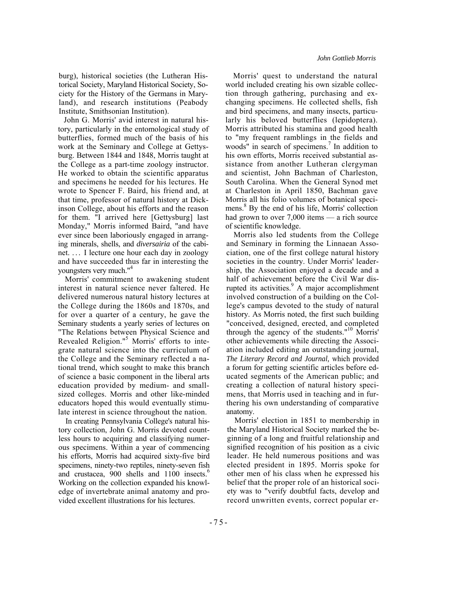John G. Morris' avid interest in natural history, particularly in the entomological study of butterflies, formed much of the basis of his work at the Seminary and College at Gettysburg. Between 1844 and 1848, Morris taught at the College as a part-time zoology instructor. He worked to obtain the scientific apparatus and specimens he needed for his lectures. He wrote to Spencer F. Baird, his friend and, at that time, professor of natural history at Dickinson College, about his efforts and the reason for them. "I arrived here [Gettysburg] last Monday," Morris informed Baird, "and have ever since been laboriously engaged in arranging minerals, shells, and *diversairia* of the cabinet. . . . I lecture one hour each day in zoology and have succeeded thus far in interesting the youngsters very much."4

Morris' commitment to awakening student interest in natural science never faltered. He delivered numerous natural history lectures at the College during the 1860s and 1870s, and for over a quarter of a century, he gave the Seminary students a yearly series of lectures on "The Relations between Physical Science and Revealed Religion."<sup>5</sup> Morris' efforts to integrate natural science into the curriculum of the College and the Seminary reflected a national trend, which sought to make this branch of science a basic component in the liberal arts education provided by medium- and smallsized colleges. Morris and other like-minded educators hoped this would eventually stimulate interest in science throughout the nation.

In creating Pennsylvania College's natural history collection, John G. Morris devoted countless hours to acquiring and classifying numerous specimens. Within a year of commencing his efforts, Morris had acquired sixty-five bird specimens, ninety-two reptiles, ninety-seven fish and crustacea, 900 shells and 1100 insects.<sup>6</sup> Working on the collection expanded his knowledge of invertebrate animal anatomy and provided excellent illustrations for his lectures.

Morris' quest to understand the natural world included creating his own sizable collection through gathering, purchasing and exchanging specimens. He collected shells, fish and bird specimens, and many insects, particularly his beloved butterflies (lepidoptera). Morris attributed his stamina and good health to "my frequent ramblings in the fields and woods" in search of specimens.<sup>7</sup> In addition to his own efforts, Morris received substantial assistance from another Lutheran clergyman and scientist, John Bachman of Charleston, South Carolina. When the General Synod met at Charleston in April 1850, Bachman gave Morris all his folio volumes of botanical specimens. 8 By the end of his life, Morris' collection had grown to over  $7,000$  items  $-$  a rich source of scientific knowledge.

Morris also led students from the College and Seminary in forming the Linnaean Association, one of the first college natural history societies in the country. Under Morris' leadership, the Association enjoyed a decade and a half of achievement before the Civil War disrupted its activities. $9$  A major accomplishment involved construction of a building on the College's campus devoted to the study of natural history. As Morris noted, the first such building "conceived, designed, erected, and completed through the agency of the students."10 Morris' other achievements while directing the Association included editing an outstanding journal, *The Literary Record and Journal,* which provided a forum for getting scientific articles before educated segments of the American public; and creating a collection of natural history specimens, that Morris used in teaching and in furthering his own understanding of comparative anatomy.

Morris' election in 1851 to membership in the Maryland Historical Society marked the beginning of a long and fruitful relationship and signified recognition of his position as a civic leader. He held numerous positions and was elected president in 1895. Morris spoke for other men of his class when he expressed his belief that the proper role of an historical society was to "verify doubtful facts, develop and record unwritten events, correct popular er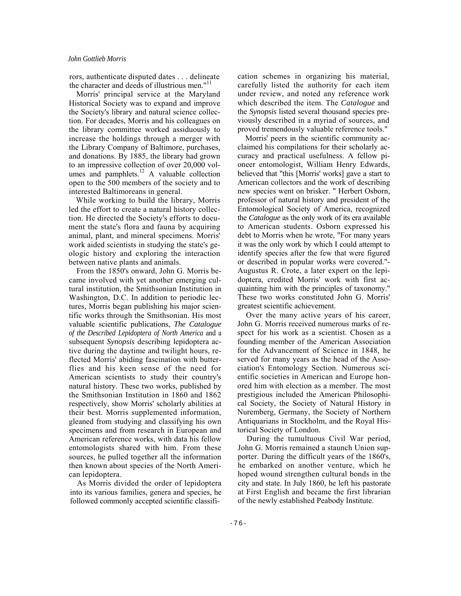rors, authenticate disputed dates . . . delineate the character and deeds of illustrious men."<sup>11</sup>

Morris' principal service at the Maryland Historical Society was to expand and improve the Society's library and natural science collection. For decades, Morris and his colleagues on the library committee worked assiduously to increase the holdings through a merger with the Library Company of Baltimore, purchases, and donations. By 1885, the library had grown to an impressive collection of over 20,000 volumes and pamphlets. $12$  A valuable collection open to the 500 members of the society and to interested Baltimoreans in general.

While working to build the library, Morris led the effort to create a natural history collection. He directed the Society's efforts to document the state's flora and fauna by acquiring animal, plant, and mineral specimens. Morris' work aided scientists in studying the state's geologic history and exploring the interaction between native plants and animals.

From the 1850's onward, John G. Morris became involved with yet another emerging cultural institution, the Smithsonian Institution in Washington, D.C. In addition to periodic lectures, Morris began publishing his major scientific works through the Smithsonian. His most valuable scientific publications, *The Catalogue of the Described Lepidoptera of North America* and a subsequent *Synopsis* describing lepidoptera active during the daytime and twilight hours, reflected Morris' abiding fascination with butterflies and his keen sense of the need for American scientists to study their country's natural history. These two works, published by the Smithsonian Institution in 1860 and 1862 respectively, show Morris' scholarly abilities at their best. Morris supplemented information, gleaned from studying and classifying his own specimens and from research in European and American reference works, with data his fellow entomologists shared with him. From these sources, he pulled together all the information then known about species of the North American lepidoptera.

As Morris divided the order of lepidoptera into its various families, genera and species, he followed commonly accepted scientific classifi-

cation schemes in organizing his material, carefully listed the authority for each item under review, and noted any reference work which described the item. The *Catalogue* and the *Synopsis* listed several thousand species previously described in a myriad of sources, and proved tremendously valuable reference tools."

Morris' peers in the scientific community acclaimed his compilations for their scholarly accuracy and practical usefulness. A fellow pioneer entomologist, William Henry Edwards, believed that "this [Morris' works] gave a start to American collectors and the work of describing new species went on brisker. " Herbert Osborn, professor of natural history and president of the Entomological Society of America, recognized the *Catalogue* as the only work of its era available to American students. Osborn expressed his debt to Morris when he wrote, "For many years it was the only work by which I could attempt to identify species after the few that were figured or described in popular works were covered."- Augustus R. Crote, a later expert on the lepidoptera, credited Morris' work with first acquainting him with the principles of taxonomy." These two works constituted John G. Morris' greatest scientific achievement.

Over the many active years of his career, John G. Morris received numerous marks of respect for his work as a scientist. Chosen as a founding member of the American Association for the Advancement of Science in 1848, he served for many years as the head of the Association's Entomology Section. Numerous scientific societies in American and Europe honored him with election as a member. The most prestigious included the American Philosophical Society, the Society of Natural History in Nuremberg, Germany, the Society of Northern Antiquarians in Stockholm, and the Royal Historical Society of London.

During the tumultuous Civil War period, John G. Morris remained a staunch Union supporter. During the difficult years of the 1860's, he embarked on another venture, which he hoped wound strengthen cultural bonds in the city and state. In July 1860, he left his pastorate at First English and became the first librarian of the newly established Peabody Institute.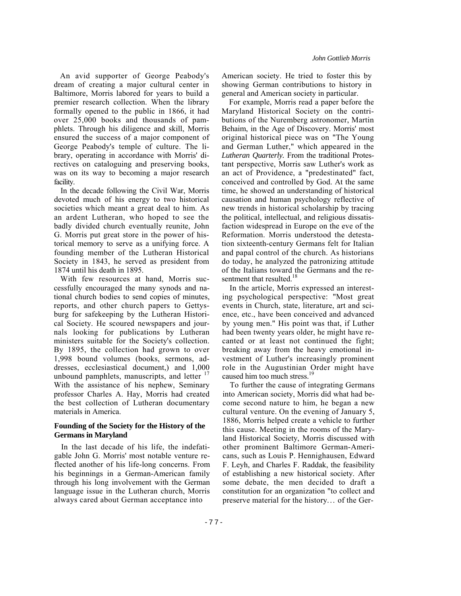An avid supporter of George Peabody's dream of creating a major cultural center in Baltimore, Morris labored for years to build a premier research collection. When the library formally opened to the public in 1866, it had over 25,000 books and thousands of pamphlets. Through his diligence and skill, Morris ensured the success of a major component of George Peabody's temple of culture. The library, operating in accordance with Morris' directives on cataloguing and preserving books, was on its way to becoming a major research facility.

In the decade following the Civil War, Morris devoted much of his energy to two historical societies which meant a great deal to him. As an ardent Lutheran, who hoped to see the badly divided church eventually reunite, John G. Morris put great store in the power of historical memory to serve as a unifying force. A founding member of the Lutheran Historical Society in 1843, he served as president from 1874 until his death in 1895.

With few resources at hand, Morris successfully encouraged the many synods and national church bodies to send copies of minutes, reports, and other church papers to Gettysburg for safekeeping by the Lutheran Historical Society. He scoured newspapers and journals looking for publications by Lutheran ministers suitable for the Society's collection. By 1895, the collection had grown to over 1,998 bound volumes (books, sermons, addresses, ecclesiastical document,) and 1,000 unbound pamphlets, manuscripts, and letter  $17$ With the assistance of his nephew, Seminary professor Charles A. Hay, Morris had created the best collection of Lutheran documentary materials in America.

## **Founding of the Society for the History of the Germans in Maryland**

In the last decade of his life, the indefatigable John G. Morris' most notable venture reflected another of his life-long concerns. From his beginnings in a German-American family through his long involvement with the German language issue in the Lutheran church, Morris always cared about German acceptance into

American society. He tried to foster this by showing German contributions to history in general and American society in particular.

For example, Morris read a paper before the Maryland Historical Society on the contributions of the Nuremberg astronomer, Martin Behaim, in the Age of Discovery. Morris' most original historical piece was on "The Young and German Luther," which appeared in the *Lutheran Quarterly.* From the traditional Protestant perspective, Morris saw Luther's work as an act of Providence, a "predestinated" fact, conceived and controlled by God. At the same time, he showed an understanding of historical causation and human psychology reflective of new trends in historical scholarship by tracing the political, intellectual, and religious dissatisfaction widespread in Europe on the eve of the Reformation. Morris understood the detestation sixteenth-century Germans felt for Italian and papal control of the church. As historians do today, he analyzed the patronizing attitude of the Italians toward the Germans and the resentment that resulted.<sup>18</sup>

In the article, Morris expressed an interesting psychological perspective: "Most great events in Church, state, literature, art and science, etc., have been conceived and advanced by young men." His point was that, if Luther had been twenty years older, he might have recanted or at least not continued the fight; breaking away from the heavy emotional investment of Luther's increasingly prominent role in the Augustinian Order might have caused him too much stress.<sup>19</sup>

To further the cause of integrating Germans into American society, Morris did what had become second nature to him, he began a new cultural venture. On the evening of January 5, 1886, Morris helped create a vehicle to further this cause. Meeting in the rooms of the Maryland Historical Society, Morris discussed with other prominent Baltimore German-Americans, such as Louis P. Hennighausen, Edward F. Leyh, and Charles F. Raddak, the feasibility of establishing a new historical society. After some debate, the men decided to draft a constitution for an organization "to collect and preserve material for the history... of the Ger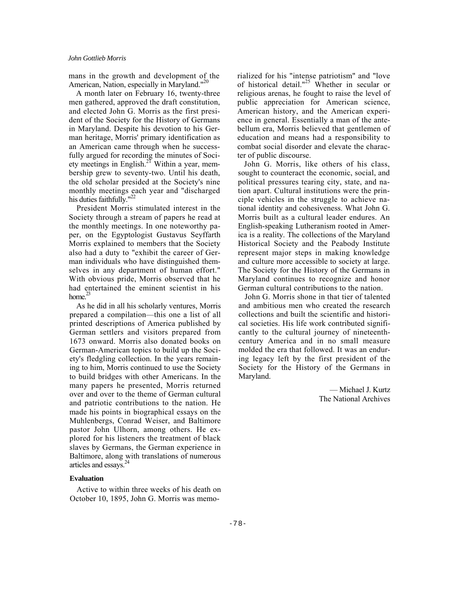mans in the growth and development of the American, Nation, especially in Maryland."<sup>20</sup>

A month later on February 16, twenty-three men gathered, approved the draft constitution, and elected John G. Morris as the first president of the Society for the History of Germans in Maryland. Despite his devotion to his German heritage, Morris' primary identification as an American came through when he successfully argued for recording the minutes of Society meetings in English.<sup>21</sup> Within a year, membership grew to seventy-two. Until his death, the old scholar presided at the Society's nine monthly meetings each year and "discharged his duties faithfully."<sup>22</sup>

President Morris stimulated interest in the Society through a stream of papers he read at the monthly meetings. In one noteworthy paper, on the Egyptologist Gustavus Seyffarth Morris explained to members that the Society also had a duty to "exhibit the career of German individuals who have distinguished themselves in any department of human effort." With obvious pride, Morris observed that he had entertained the eminent scientist in his home. $^{23}$ 

As he did in all his scholarly ventures, Morris prepared a compilation—this one a list of all printed descriptions of America published by German settlers and visitors prepared from 1673 onward. Morris also donated books on German-American topics to build up the Society's fledgling collection. In the years remaining to him, Morris continued to use the Society to build bridges with other Americans. In the many papers he presented, Morris returned over and over to the theme of German cultural and patriotic contributions to the nation. He made his points in biographical essays on the Muhlenbergs, Conrad Weiser, and Baltimore pastor John Ulhorn, among others. He explored for his listeners the treatment of black slaves by Germans, the German experience in Baltimore, along with translations of numerous articles and essays.24

#### **Evaluation**

Active to within three weeks of his death on October 10, 1895, John G. Morris was memo-

rialized for his "intense patriotism" and "love of historical detail."<sup>25</sup> Whether in secular or religious arenas, he fought to raise the level of public appreciation for American science, American history, and the American experience in general. Essentially a man of the antebellum era, Morris believed that gentlemen of education and means had a responsibility to combat social disorder and elevate the character of public discourse.

John G. Morris, like others of his class, sought to counteract the economic, social, and political pressures tearing city, state, and nation apart. Cultural institutions were the principle vehicles in the struggle to achieve national identity and cohesiveness. What John G. Morris built as a cultural leader endures. An English-speaking Lutheranism rooted in America is a reality. The collections of the Maryland Historical Society and the Peabody Institute represent major steps in making knowledge and culture more accessible to society at large. The Society for the History of the Germans in Maryland continues to recognize and honor German cultural contributions to the nation.

John G. Morris shone in that tier of talented and ambitious men who created the research collections and built the scientific and historical societies. His life work contributed significantly to the cultural journey of nineteenthcentury America and in no small measure molded the era that followed. It was an enduring legacy left by the first president of the Society for the History of the Germans in Maryland.

> ó Michael J. Kurtz The National Archives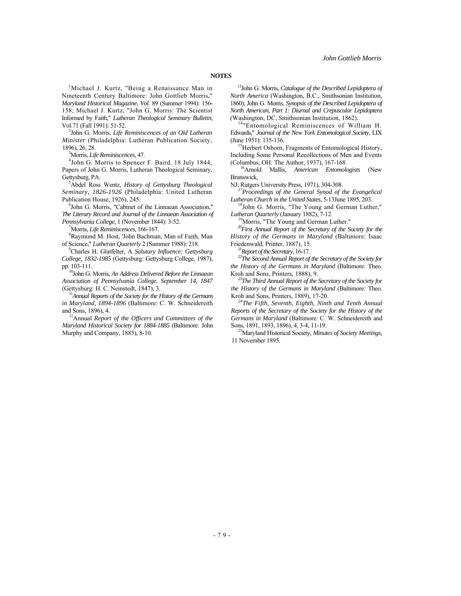1 Michael J. Kurtz, "Being a Renaissance Man in Nineteenth Century Baltimore: John Gottlieb Morris," *Maryland Historical Magazine, Vol.* 89 (Summer 1994): 156- 158; Michael J. Kurtz, "John G. Morris: The Scientist Informed by Faith," *Lutheran Theological Seminary Bulletin,*  Vol.71 (Fall 1991): 51-52.

John G. Morris, *Life Reminiscences of an Old Lutheran Minister* (Philadelphia: Lutheran Publication Society, 1896), 26, 28. <sup>3</sup>

<sup>3</sup>Morris, *Life Reminiscences*, 47.

<sup>4</sup>John G. Morris to Spencer F. Baird, 18 July 1844, Papers of John G. Morris, Lutheran Theological Seminary, Gettysburg, PA.

Abdel Ross Wentz, *History of Gettysburg Theological Seminary, 1826-1926* (Philadelphia: United Lutheran Publication House, 1926), 245.

 $6$ John G. Morris, "Cabinet of the Linnaean Association," *The Literary Record and Journal of the Linnaean Association of Pennsylvania College,* 1 (November 1844): 3-52. <sup>7</sup>

Morris, *Life Reminiscences,* 166-167. <sup>8</sup>

Raymond M. Host, 'John Bachman, Man of Faith, Man of Science," *Lutheran Quarterly 2* (Summer 1988): 218.

Charles H. Glatfelter, A *Salutary Influence: Gettysburg College, 1832-1985* (Gettysburg: Gettysburg College, 1987),

pp. 103-111. 10John G. Morris, *An Address Delivered Before the Linnaean Association of Pennsylvania College, September 14, 1847* 

(Gettysburg: H. C. Neinstedt, 1847), 3.<br><sup>11</sup>*Annual Reports of the Society for the History of the Germans in Maryland, 1894-1896* (Baltimore: C. W. Schneidereith

and Sons, 1896), 4.<br><sup>12</sup>Annual *Report of the Officers and Committees of the Maryland Historical Society for 1884-1885* (Baltimore: John Murphy and Company, 1885), 8-10.

13John G. Morris, *Catalogue of the Described Lepidoptera of North America* (Washington, B.C., Smithsonian Institution, 1860); John G. Morris, *Synopsis of the Described Lepidoptera of North American, Part 1: Diurnal and Crepuscular Lepidoptera*  (Washington, DC, Smithsonian Institution, 1862).<br> $14^n$ Entomological Reminiscences of William H.

Edwards," *Journal of the New York Entomological Society,* LIX (June 1951): 135-136.<br><sup>15</sup>Herbert Osborn, Fragments of Entomological History,

Including Some Personal Recollections of Men and Events

(Columbus, OH: The Author, 1937), 167-168. 16Arnold Mallis, *American Entomologists* (New **Brunswick** 

NJ: Rutgers University Press, 1971), 304-308. *17Proceedings of the General Synod of the Evangelical* 

<sup>18</sup>John G. Morris, "The Young and German Luther,"

*Lutheran Quarterly* (January 1882), 7-12.<br><sup>19</sup>Morris, "The Young and German Luther." *<sup>20</sup>First Annual Report of the Secretary of the Society for the History of the Germans in Maryland* (Baltimore: Isaac

Friedenwald, Printer, 1887), 15.<br><sup>21</sup>Report of the Secretary, 16-17.<br><sup>22</sup>The Second Annual Report of the Secretary of the Society for *the History of the Germans in Maryland* (Baltimore: Theo.

Kroh and Sons, Printers, 1888), 9. *23The Third Annual Report of the Secretary of the Society for the History of the Germans in Maryland* (Baltimore: Theo. Kroh and Sons, Printers, 1889), 17-20. *24The Fifth, Seventh, Eighth, Ninth and Tenth Annual* 

*Reports of the Secretary of the Society for the History of the Germans in Maryland* (Baltimore: C. W. Schneidereith and Sons, 1891, 1893, 1896), 4, 3-4, 11-19. 25Maryland Historical Society, *Minutes of Society Meetings,* 

11 November 1895.